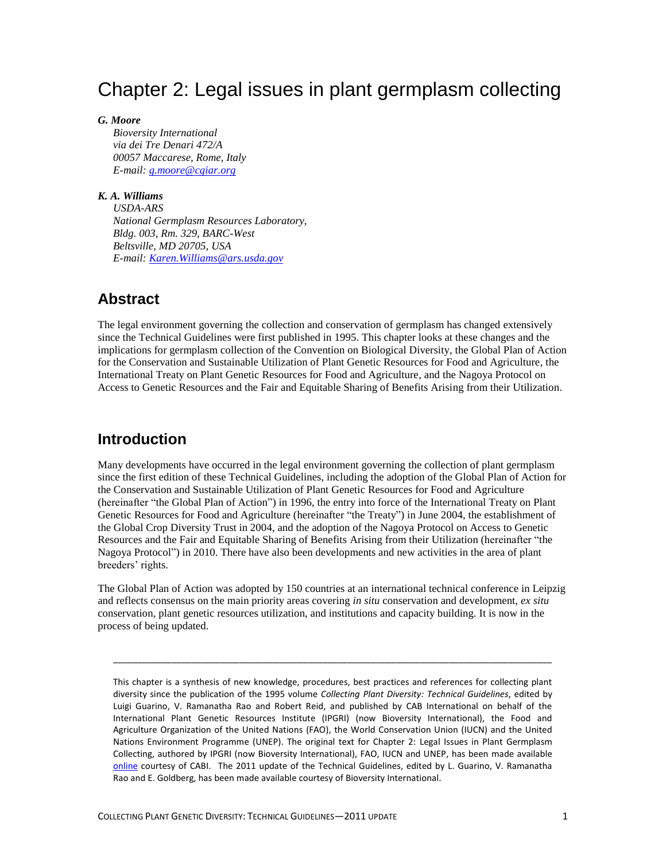# Chapter 2: Legal issues in plant germplasm collecting

#### *G. Moore*

*Bioversity International via dei Tre Denari 472/A 00057 Maccarese, Rome, Italy E-mail: [g.moore@cgiar.org](mailto:g.moore@cgiar.org)*

### *K. A. Williams*

*USDA-ARS National Germplasm Resources Laboratory, Bldg. 003, Rm. 329, BARC-West Beltsville, MD 20705, USA E-mail: [Karen.Williams@ars.usda.gov](mailto:Karen.Williams@ars.usda.gov)*

### **Abstract**

The legal environment governing the collection and conservation of germplasm has changed extensively since the Technical Guidelines were first published in 1995. This chapter looks at these changes and the implications for germplasm collection of the Convention on Biological Diversity, the Global Plan of Action for the Conservation and Sustainable Utilization of Plant Genetic Resources for Food and Agriculture, the International Treaty on Plant Genetic Resources for Food and Agriculture, and the Nagoya Protocol on Access to Genetic Resources and the Fair and Equitable Sharing of Benefits Arising from their Utilization.

# **Introduction**

Many developments have occurred in the legal environment governing the collection of plant germplasm since the first edition of these Technical Guidelines, including the adoption of the Global Plan of Action for the Conservation and Sustainable Utilization of Plant Genetic Resources for Food and Agriculture (hereinafter "the Global Plan of Action") in 1996, the entry into force of the International Treaty on Plant Genetic Resources for Food and Agriculture (hereinafter "the Treaty") in June 2004, the establishment of the Global Crop Diversity Trust in 2004, and the adoption of the Nagoya Protocol on Access to Genetic Resources and the Fair and Equitable Sharing of Benefits Arising from their Utilization (hereinafter "the Nagoya Protocol") in 2010. There have also been developments and new activities in the area of plant breeders' rights.

The Global Plan of Action was adopted by 150 countries at an international technical conference in Leipzig and reflects consensus on the main priority areas covering *in situ* conservation and development, *ex situ* conservation, plant genetic resources utilization, and institutions and capacity building. It is now in the process of being updated.

\_\_\_\_\_\_\_\_\_\_\_\_\_\_\_\_\_\_\_\_\_\_\_\_\_\_\_\_\_\_\_\_\_\_\_\_\_\_\_\_\_\_\_\_\_\_\_\_\_\_\_\_\_\_\_\_\_\_\_\_\_\_\_\_\_\_\_\_\_\_\_\_\_\_\_\_\_\_\_\_\_\_\_\_\_\_\_\_\_\_

This chapter is a synthesis of new knowledge, procedures, best practices and references for collecting plant diversity since the publication of the 1995 volume *Collecting Plant Diversity: Technical Guidelines*, edited by Luigi Guarino, V. Ramanatha Rao and Robert Reid, and published by CAB International on behalf of the International Plant Genetic Resources Institute (IPGRI) (now Bioversity International), the Food and Agriculture Organization of the United Nations (FAO), the World Conservation Union (IUCN) and the United Nations Environment Programme (UNEP). The original text for Chapter 2: Legal Issues in Plant Germplasm Collecting, authored by IPGRI (now Bioversity International), FAO, IUCN and UNEP, has been made available [online](http://cropgenebank.sgrp.cgiar.org/images/file/procedures/collecting1995/Chapter2.pdf) courtesy of CABI. The 2011 update of the Technical Guidelines, edited by L. Guarino, V. Ramanatha Rao and E. Goldberg, has been made available courtesy of Bioversity International.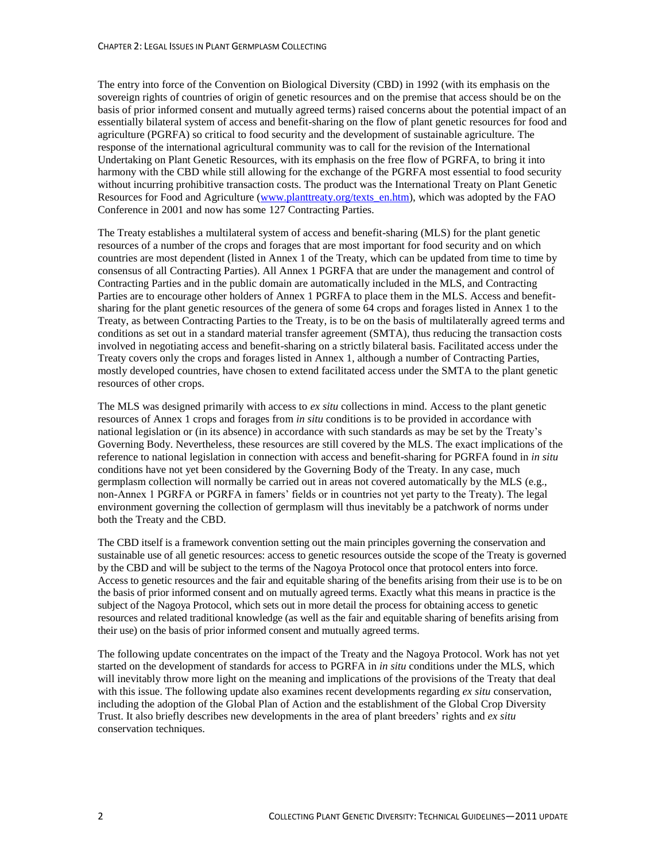The entry into force of the Convention on Biological Diversity (CBD) in 1992 (with its emphasis on the sovereign rights of countries of origin of genetic resources and on the premise that access should be on the basis of prior informed consent and mutually agreed terms) raised concerns about the potential impact of an essentially bilateral system of access and benefit-sharing on the flow of plant genetic resources for food and agriculture (PGRFA) so critical to food security and the development of sustainable agriculture. The response of the international agricultural community was to call for the revision of the International Undertaking on Plant Genetic Resources, with its emphasis on the free flow of PGRFA, to bring it into harmony with the CBD while still allowing for the exchange of the PGRFA most essential to food security without incurring prohibitive transaction costs. The product was the International Treaty on Plant Genetic Resources for Food and Agriculture [\(www.planttreaty.org/texts\\_en.htm\)](http://www.planttreaty.org/texts_en.htm), which was adopted by the FAO Conference in 2001 and now has some 127 Contracting Parties.

The Treaty establishes a multilateral system of access and benefit-sharing (MLS) for the plant genetic resources of a number of the crops and forages that are most important for food security and on which countries are most dependent (listed in Annex 1 of the Treaty, which can be updated from time to time by consensus of all Contracting Parties). All Annex 1 PGRFA that are under the management and control of Contracting Parties and in the public domain are automatically included in the MLS, and Contracting Parties are to encourage other holders of Annex 1 PGRFA to place them in the MLS. Access and benefitsharing for the plant genetic resources of the genera of some 64 crops and forages listed in Annex 1 to the Treaty, as between Contracting Parties to the Treaty, is to be on the basis of multilaterally agreed terms and conditions as set out in a standard material transfer agreement (SMTA), thus reducing the transaction costs involved in negotiating access and benefit-sharing on a strictly bilateral basis. Facilitated access under the Treaty covers only the crops and forages listed in Annex 1, although a number of Contracting Parties, mostly developed countries, have chosen to extend facilitated access under the SMTA to the plant genetic resources of other crops.

The MLS was designed primarily with access to *ex situ* collections in mind. Access to the plant genetic resources of Annex 1 crops and forages from *in situ* conditions is to be provided in accordance with national legislation or (in its absence) in accordance with such standards as may be set by the Treaty's Governing Body. Nevertheless, these resources are still covered by the MLS. The exact implications of the reference to national legislation in connection with access and benefit-sharing for PGRFA found in *in situ* conditions have not yet been considered by the Governing Body of the Treaty. In any case, much germplasm collection will normally be carried out in areas not covered automatically by the MLS (e.g., non-Annex 1 PGRFA or PGRFA in famers' fields or in countries not yet party to the Treaty). The legal environment governing the collection of germplasm will thus inevitably be a patchwork of norms under both the Treaty and the CBD.

The CBD itself is a framework convention setting out the main principles governing the conservation and sustainable use of all genetic resources: access to genetic resources outside the scope of the Treaty is governed by the CBD and will be subject to the terms of the Nagoya Protocol once that protocol enters into force. Access to genetic resources and the fair and equitable sharing of the benefits arising from their use is to be on the basis of prior informed consent and on mutually agreed terms. Exactly what this means in practice is the subject of the Nagoya Protocol, which sets out in more detail the process for obtaining access to genetic resources and related traditional knowledge (as well as the fair and equitable sharing of benefits arising from their use) on the basis of prior informed consent and mutually agreed terms.

The following update concentrates on the impact of the Treaty and the Nagoya Protocol. Work has not yet started on the development of standards for access to PGRFA in *in situ* conditions under the MLS, which will inevitably throw more light on the meaning and implications of the provisions of the Treaty that deal with this issue. The following update also examines recent developments regarding *ex situ* conservation, including the adoption of the Global Plan of Action and the establishment of the Global Crop Diversity Trust. It also briefly describes new developments in the area of plant breeders' rights and *ex situ* conservation techniques.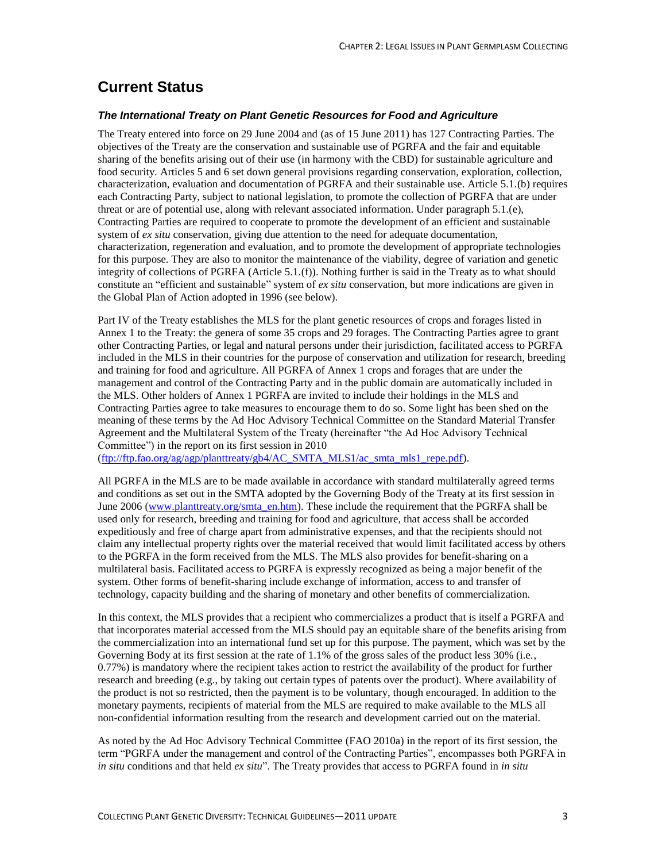# **Current Status**

#### *The International Treaty on Plant Genetic Resources for Food and Agriculture*

The Treaty entered into force on 29 June 2004 and (as of 15 June 2011) has 127 Contracting Parties. The objectives of the Treaty are the conservation and sustainable use of PGRFA and the fair and equitable sharing of the benefits arising out of their use (in harmony with the CBD) for sustainable agriculture and food security. Articles 5 and 6 set down general provisions regarding conservation, exploration, collection, characterization, evaluation and documentation of PGRFA and their sustainable use. Article 5.1.(b) requires each Contracting Party, subject to national legislation, to promote the collection of PGRFA that are under threat or are of potential use, along with relevant associated information. Under paragraph 5.1.(e), Contracting Parties are required to cooperate to promote the development of an efficient and sustainable system of *ex situ* conservation, giving due attention to the need for adequate documentation, characterization, regeneration and evaluation, and to promote the development of appropriate technologies for this purpose. They are also to monitor the maintenance of the viability, degree of variation and genetic integrity of collections of PGRFA (Article 5.1.(f)). Nothing further is said in the Treaty as to what should constitute an "efficient and sustainable" system of *ex situ* conservation, but more indications are given in the Global Plan of Action adopted in 1996 (see below).

Part IV of the Treaty establishes the MLS for the plant genetic resources of crops and forages listed in Annex 1 to the Treaty: the genera of some 35 crops and 29 forages. The Contracting Parties agree to grant other Contracting Parties, or legal and natural persons under their jurisdiction, facilitated access to PGRFA included in the MLS in their countries for the purpose of conservation and utilization for research, breeding and training for food and agriculture. All PGRFA of Annex 1 crops and forages that are under the management and control of the Contracting Party and in the public domain are automatically included in the MLS. Other holders of Annex 1 PGRFA are invited to include their holdings in the MLS and Contracting Parties agree to take measures to encourage them to do so. Some light has been shed on the meaning of these terms by the Ad Hoc Advisory Technical Committee on the Standard Material Transfer Agreement and the Multilateral System of the Treaty (hereinafter "the Ad Hoc Advisory Technical Committee") in the report on its first session in 2010

[\(ftp://ftp.fao.org/ag/agp/planttreaty/gb4/AC\\_SMTA\\_MLS1/ac\\_smta\\_mls1\\_repe.pdf\)](ftp://ftp.fao.org/ag/agp/planttreaty/gb4/AC_SMTA_MLS1/ac_smta_mls1_repe.pdf).

All PGRFA in the MLS are to be made available in accordance with standard multilaterally agreed terms and conditions as set out in the SMTA adopted by the Governing Body of the Treaty at its first session in June 2006 [\(www.planttreaty.org/smta\\_en.htm\)](http://www.planttreaty.org/smta_en.htm). These include the requirement that the PGRFA shall be used only for research, breeding and training for food and agriculture, that access shall be accorded expeditiously and free of charge apart from administrative expenses, and that the recipients should not claim any intellectual property rights over the material received that would limit facilitated access by others to the PGRFA in the form received from the MLS. The MLS also provides for benefit-sharing on a multilateral basis. Facilitated access to PGRFA is expressly recognized as being a major benefit of the system. Other forms of benefit-sharing include exchange of information, access to and transfer of technology, capacity building and the sharing of monetary and other benefits of commercialization.

In this context, the MLS provides that a recipient who commercializes a product that is itself a PGRFA and that incorporates material accessed from the MLS should pay an equitable share of the benefits arising from the commercialization into an international fund set up for this purpose. The payment, which was set by the Governing Body at its first session at the rate of 1.1% of the gross sales of the product less 30% (i.e., 0.77%) is mandatory where the recipient takes action to restrict the availability of the product for further research and breeding (e.g., by taking out certain types of patents over the product). Where availability of the product is not so restricted, then the payment is to be voluntary, though encouraged. In addition to the monetary payments, recipients of material from the MLS are required to make available to the MLS all non-confidential information resulting from the research and development carried out on the material.

As noted by the Ad Hoc Advisory Technical Committee (FAO 2010a) in the report of its first session, the term "PGRFA under the management and control of the Contracting Parties", encompasses both PGRFA in *in situ* conditions and that held *ex situ*". The Treaty provides that access to PGRFA found in *in situ*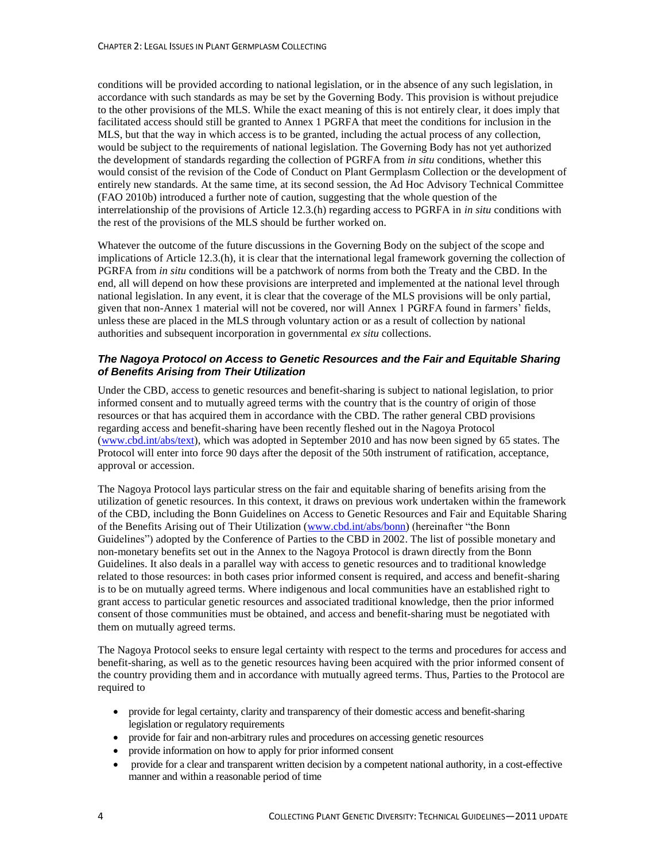conditions will be provided according to national legislation, or in the absence of any such legislation, in accordance with such standards as may be set by the Governing Body. This provision is without prejudice to the other provisions of the MLS. While the exact meaning of this is not entirely clear, it does imply that facilitated access should still be granted to Annex 1 PGRFA that meet the conditions for inclusion in the MLS, but that the way in which access is to be granted, including the actual process of any collection, would be subject to the requirements of national legislation. The Governing Body has not yet authorized the development of standards regarding the collection of PGRFA from *in situ* conditions, whether this would consist of the revision of the Code of Conduct on Plant Germplasm Collection or the development of entirely new standards. At the same time, at its second session, the Ad Hoc Advisory Technical Committee (FAO 2010b) introduced a further note of caution, suggesting that the whole question of the interrelationship of the provisions of Article 12.3.(h) regarding access to PGRFA in *in situ* conditions with the rest of the provisions of the MLS should be further worked on.

Whatever the outcome of the future discussions in the Governing Body on the subject of the scope and implications of Article 12.3.(h), it is clear that the international legal framework governing the collection of PGRFA from *in situ* conditions will be a patchwork of norms from both the Treaty and the CBD. In the end, all will depend on how these provisions are interpreted and implemented at the national level through national legislation. In any event, it is clear that the coverage of the MLS provisions will be only partial, given that non-Annex 1 material will not be covered, nor will Annex 1 PGRFA found in farmers' fields, unless these are placed in the MLS through voluntary action or as a result of collection by national authorities and subsequent incorporation in governmental *ex situ* collections.

#### *The Nagoya Protocol on Access to Genetic Resources and the Fair and Equitable Sharing of Benefits Arising from Their Utilization*

Under the CBD, access to genetic resources and benefit-sharing is subject to national legislation, to prior informed consent and to mutually agreed terms with the country that is the country of origin of those resources or that has acquired them in accordance with the CBD. The rather general CBD provisions regarding access and benefit-sharing have been recently fleshed out in the Nagoya Protocol [\(www.cbd.int/abs/text\)](http://www.cbd.int/abs/text/), which was adopted in September 2010 and has now been signed by 65 states. The Protocol will enter into force 90 days after the deposit of the 50th instrument of ratification, acceptance, approval or accession.

The Nagoya Protocol lays particular stress on the fair and equitable sharing of benefits arising from the utilization of genetic resources. In this context, it draws on previous work undertaken within the framework of the CBD, including the Bonn Guidelines on Access to Genetic Resources and Fair and Equitable Sharing of the Benefits Arising out of Their Utilization [\(www.cbd.int/abs/bonn\)](http://www.cbd.int/abs/bonn/) (hereinafter "the Bonn Guidelines") adopted by the Conference of Parties to the CBD in 2002. The list of possible monetary and non-monetary benefits set out in the Annex to the Nagoya Protocol is drawn directly from the Bonn Guidelines. It also deals in a parallel way with access to genetic resources and to traditional knowledge related to those resources: in both cases prior informed consent is required, and access and benefit-sharing is to be on mutually agreed terms. Where indigenous and local communities have an established right to grant access to particular genetic resources and associated traditional knowledge, then the prior informed consent of those communities must be obtained, and access and benefit-sharing must be negotiated with them on mutually agreed terms.

The Nagoya Protocol seeks to ensure legal certainty with respect to the terms and procedures for access and benefit-sharing, as well as to the genetic resources having been acquired with the prior informed consent of the country providing them and in accordance with mutually agreed terms. Thus, Parties to the Protocol are required to

- provide for legal certainty, clarity and transparency of their domestic access and benefit-sharing legislation or regulatory requirements
- provide for fair and non-arbitrary rules and procedures on accessing genetic resources
- provide information on how to apply for prior informed consent
- provide for a clear and transparent written decision by a competent national authority, in a cost-effective manner and within a reasonable period of time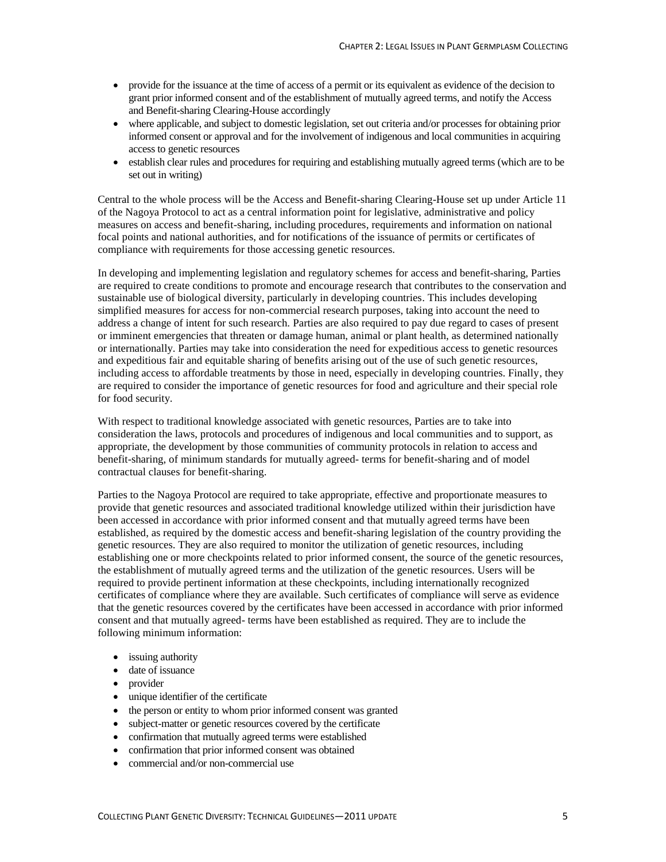- provide for the issuance at the time of access of a permit or its equivalent as evidence of the decision to grant prior informed consent and of the establishment of mutually agreed terms, and notify the Access and Benefit-sharing Clearing-House accordingly
- where applicable, and subject to domestic legislation, set out criteria and/or processes for obtaining prior informed consent or approval and for the involvement of indigenous and local communities in acquiring access to genetic resources
- establish clear rules and procedures for requiring and establishing mutually agreed terms (which are to be set out in writing)

Central to the whole process will be the Access and Benefit-sharing Clearing-House set up under Article 11 of the Nagoya Protocol to act as a central information point for legislative, administrative and policy measures on access and benefit-sharing, including procedures, requirements and information on national focal points and national authorities, and for notifications of the issuance of permits or certificates of compliance with requirements for those accessing genetic resources.

In developing and implementing legislation and regulatory schemes for access and benefit-sharing, Parties are required to create conditions to promote and encourage research that contributes to the conservation and sustainable use of biological diversity, particularly in developing countries. This includes developing simplified measures for access for non-commercial research purposes, taking into account the need to address a change of intent for such research. Parties are also required to pay due regard to cases of present or imminent emergencies that threaten or damage human, animal or plant health, as determined nationally or internationally. Parties may take into consideration the need for expeditious access to genetic resources and expeditious fair and equitable sharing of benefits arising out of the use of such genetic resources, including access to affordable treatments by those in need, especially in developing countries. Finally, they are required to consider the importance of genetic resources for food and agriculture and their special role for food security.

With respect to traditional knowledge associated with genetic resources, Parties are to take into consideration the laws, protocols and procedures of indigenous and local communities and to support, as appropriate, the development by those communities of community protocols in relation to access and benefit-sharing, of minimum standards for mutually agreed- terms for benefit-sharing and of model contractual clauses for benefit-sharing.

Parties to the Nagoya Protocol are required to take appropriate, effective and proportionate measures to provide that genetic resources and associated traditional knowledge utilized within their jurisdiction have been accessed in accordance with prior informed consent and that mutually agreed terms have been established, as required by the domestic access and benefit-sharing legislation of the country providing the genetic resources. They are also required to monitor the utilization of genetic resources, including establishing one or more checkpoints related to prior informed consent, the source of the genetic resources, the establishment of mutually agreed terms and the utilization of the genetic resources. Users will be required to provide pertinent information at these checkpoints, including internationally recognized certificates of compliance where they are available. Such certificates of compliance will serve as evidence that the genetic resources covered by the certificates have been accessed in accordance with prior informed consent and that mutually agreed- terms have been established as required. They are to include the following minimum information:

- issuing authority
- date of issuance
- provider
- unique identifier of the certificate
- the person or entity to whom prior informed consent was granted
- subject-matter or genetic resources covered by the certificate
- confirmation that mutually agreed terms were established
- confirmation that prior informed consent was obtained
- commercial and/or non-commercial use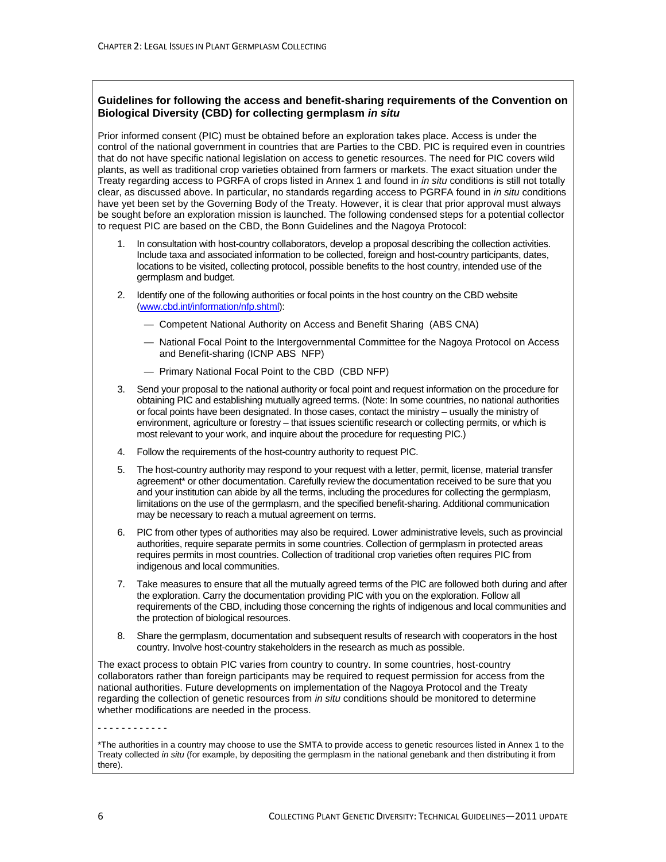#### **Guidelines for following the access and benefit-sharing requirements of the Convention on Biological Diversity (CBD) for collecting germplasm** *in situ*

Prior informed consent (PIC) must be obtained before an exploration takes place. Access is under the control of the national government in countries that are Parties to the CBD. PIC is required even in countries that do not have specific national legislation on access to genetic resources. The need for PIC covers wild plants, as well as traditional crop varieties obtained from farmers or markets. The exact situation under the Treaty regarding access to PGRFA of crops listed in Annex 1 and found in *in situ* conditions is still not totally clear, as discussed above. In particular, no standards regarding access to PGRFA found in *in situ* conditions have yet been set by the Governing Body of the Treaty. However, it is clear that prior approval must always be sought before an exploration mission is launched. The following condensed steps for a potential collector to request PIC are based on the CBD, the Bonn Guidelines and the Nagoya Protocol:

- 1. In consultation with host-country collaborators, develop a proposal describing the collection activities. Include taxa and associated information to be collected, foreign and host-country participants, dates, locations to be visited, collecting protocol, possible benefits to the host country, intended use of the germplasm and budget.
- 2. Identify one of the following authorities or focal points in the host country on the CBD website [\(www.cbd.int/information/nfp.shtml\)](http://www.cbd.int/information/nfp.shtml):
	- Competent National Authority on Access and Benefit Sharing (ABS CNA)
	- National Focal Point to the Intergovernmental Committee for the Nagoya Protocol on Access and Benefit-sharing (ICNP ABS NFP)
	- Primary National Focal Point to the CBD (CBD NFP)
- 3. Send your proposal to the national authority or focal point and request information on the procedure for obtaining PIC and establishing mutually agreed terms. (Note: In some countries, no national authorities or focal points have been designated. In those cases, contact the ministry – usually the ministry of environment, agriculture or forestry – that issues scientific research or collecting permits, or which is most relevant to your work, and inquire about the procedure for requesting PIC.)
- 4. Follow the requirements of the host-country authority to request PIC.
- 5. The host-country authority may respond to your request with a letter, permit, license, material transfer agreement\* or other documentation. Carefully review the documentation received to be sure that you and your institution can abide by all the terms, including the procedures for collecting the germplasm, limitations on the use of the germplasm, and the specified benefit-sharing. Additional communication may be necessary to reach a mutual agreement on terms.
- 6. PIC from other types of authorities may also be required. Lower administrative levels, such as provincial authorities, require separate permits in some countries. Collection of germplasm in protected areas requires permits in most countries. Collection of traditional crop varieties often requires PIC from indigenous and local communities.
- 7. Take measures to ensure that all the mutually agreed terms of the PIC are followed both during and after the exploration. Carry the documentation providing PIC with you on the exploration. Follow all requirements of the CBD, including those concerning the rights of indigenous and local communities and the protection of biological resources.
- 8. Share the germplasm, documentation and subsequent results of research with cooperators in the host country. Involve host-country stakeholders in the research as much as possible.

The exact process to obtain PIC varies from country to country. In some countries, host-country collaborators rather than foreign participants may be required to request permission for access from the national authorities. Future developments on implementation of the Nagoya Protocol and the Treaty regarding the collection of genetic resources from *in situ* conditions should be monitored to determine whether modifications are needed in the process.

```
- - - - - - - - - - - -
```
\*The authorities in a country may choose to use the SMTA to provide access to genetic resources listed in Annex 1 to the Treaty collected *in situ* (for example, by depositing the germplasm in the national genebank and then distributing it from there).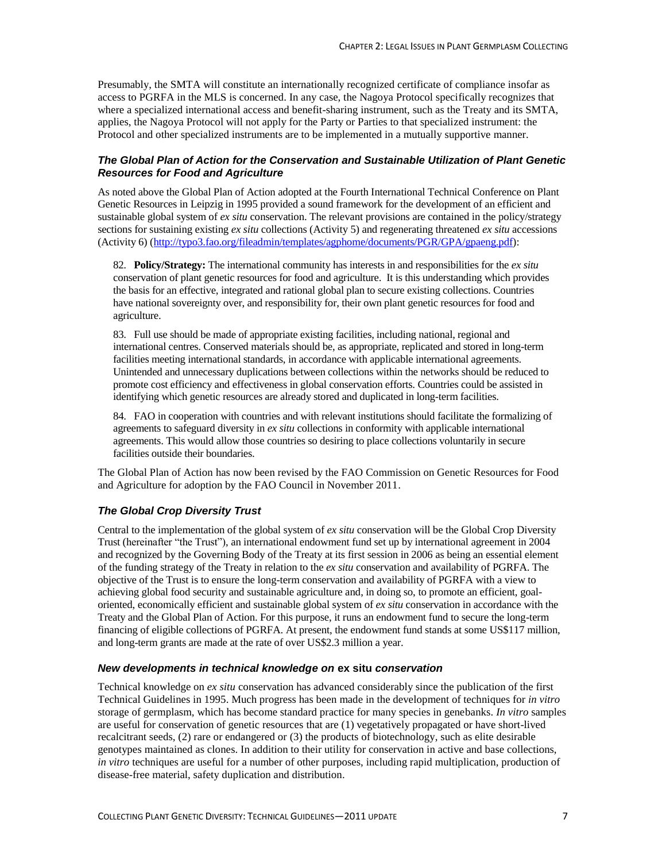Presumably, the SMTA will constitute an internationally recognized certificate of compliance insofar as access to PGRFA in the MLS is concerned. In any case, the Nagoya Protocol specifically recognizes that where a specialized international access and benefit-sharing instrument, such as the Treaty and its SMTA, applies, the Nagoya Protocol will not apply for the Party or Parties to that specialized instrument: the Protocol and other specialized instruments are to be implemented in a mutually supportive manner.

#### *The Global Plan of Action for the Conservation and Sustainable Utilization of Plant Genetic Resources for Food and Agriculture*

As noted above the Global Plan of Action adopted at the Fourth International Technical Conference on Plant Genetic Resources in Leipzig in 1995 provided a sound framework for the development of an efficient and sustainable global system of *ex situ* conservation. The relevant provisions are contained in the policy/strategy sections for sustaining existing *ex situ* collections (Activity 5) and regenerating threatened *ex situ* accessions (Activity 6) [\(http://typo3.fao.org/fileadmin/templates/agphome/documents/PGR/GPA/gpaeng.pdf\)](http://typo3.fao.org/fileadmin/templates/agphome/documents/PGR/GPA/gpaeng.pdf):

82. **Policy/Strategy:** The international community has interests in and responsibilities for the *ex situ* conservation of plant genetic resources for food and agriculture. It is this understanding which provides the basis for an effective, integrated and rational global plan to secure existing collections. Countries have national sovereignty over, and responsibility for, their own plant genetic resources for food and agriculture.

83. Full use should be made of appropriate existing facilities, including national, regional and international centres. Conserved materials should be, as appropriate, replicated and stored in long-term facilities meeting international standards, in accordance with applicable international agreements. Unintended and unnecessary duplications between collections within the networks should be reduced to promote cost efficiency and effectiveness in global conservation efforts. Countries could be assisted in identifying which genetic resources are already stored and duplicated in long-term facilities.

84. FAO in cooperation with countries and with relevant institutions should facilitate the formalizing of agreements to safeguard diversity in *ex situ* collections in conformity with applicable international agreements. This would allow those countries so desiring to place collections voluntarily in secure facilities outside their boundaries.

The Global Plan of Action has now been revised by the FAO Commission on Genetic Resources for Food and Agriculture for adoption by the FAO Council in November 2011.

#### *The Global Crop Diversity Trust*

Central to the implementation of the global system of *ex situ* conservation will be the Global Crop Diversity Trust (hereinafter "the Trust"), an international endowment fund set up by international agreement in 2004 and recognized by the Governing Body of the Treaty at its first session in 2006 as being an essential element of the funding strategy of the Treaty in relation to the *ex situ* conservation and availability of PGRFA. The objective of the Trust is to ensure the long-term conservation and availability of PGRFA with a view to achieving global food security and sustainable agriculture and, in doing so, to promote an efficient, goaloriented, economically efficient and sustainable global system of *ex situ* conservation in accordance with the Treaty and the Global Plan of Action. For this purpose, it runs an endowment fund to secure the long-term financing of eligible collections of PGRFA. At present, the endowment fund stands at some US\$117 million, and long-term grants are made at the rate of over US\$2.3 million a year.

#### *New developments in technical knowledge on* **ex situ** *conservation*

Technical knowledge on *ex situ* conservation has advanced considerably since the publication of the first Technical Guidelines in 1995. Much progress has been made in the development of techniques for *in vitro* storage of germplasm, which has become standard practice for many species in genebanks. *In vitro* samples are useful for conservation of genetic resources that are (1) vegetatively propagated or have short-lived recalcitrant seeds, (2) rare or endangered or (3) the products of biotechnology, such as elite desirable genotypes maintained as clones. In addition to their utility for conservation in active and base collections, *in vitro* techniques are useful for a number of other purposes, including rapid multiplication, production of disease-free material, safety duplication and distribution.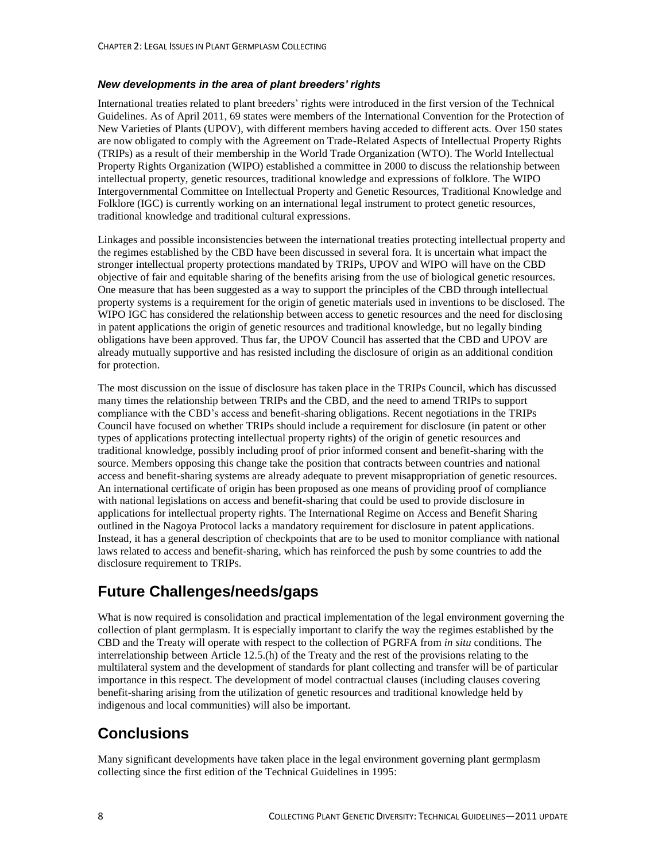#### *New developments in the area of plant breeders' rights*

International treaties related to plant breeders' rights were introduced in the first version of the Technical Guidelines. As of April 2011, 69 states were members of the International Convention for the Protection of New Varieties of Plants (UPOV), with different members having acceded to different acts. Over 150 states are now obligated to comply with the Agreement on Trade-Related Aspects of Intellectual Property Rights (TRIPs) as a result of their membership in the World Trade Organization (WTO). The World Intellectual Property Rights Organization (WIPO) established a committee in 2000 to discuss the relationship between intellectual property, genetic resources, traditional knowledge and expressions of folklore. The WIPO Intergovernmental Committee on Intellectual Property and Genetic Resources, Traditional Knowledge and Folklore (IGC) is currently working on an international legal instrument to protect genetic resources, traditional knowledge and traditional cultural expressions.

Linkages and possible inconsistencies between the international treaties protecting intellectual property and the regimes established by the CBD have been discussed in several fora. It is uncertain what impact the stronger intellectual property protections mandated by TRIPs, UPOV and WIPO will have on the CBD objective of fair and equitable sharing of the benefits arising from the use of biological genetic resources. One measure that has been suggested as a way to support the principles of the CBD through intellectual property systems is a requirement for the origin of genetic materials used in inventions to be disclosed. The WIPO IGC has considered the relationship between access to genetic resources and the need for disclosing in patent applications the origin of genetic resources and traditional knowledge, but no legally binding obligations have been approved. Thus far, the UPOV Council has asserted that the CBD and UPOV are already mutually supportive and has resisted including the disclosure of origin as an additional condition for protection.

The most discussion on the issue of disclosure has taken place in the TRIPs Council, which has discussed many times the relationship between TRIPs and the CBD, and the need to amend TRIPs to support compliance with the CBD's access and benefit-sharing obligations. Recent negotiations in the TRIPs Council have focused on whether TRIPs should include a requirement for disclosure (in patent or other types of applications protecting intellectual property rights) of the origin of genetic resources and traditional knowledge, possibly including proof of prior informed consent and benefit-sharing with the source. Members opposing this change take the position that contracts between countries and national access and benefit-sharing systems are already adequate to prevent misappropriation of genetic resources. An international certificate of origin has been proposed as one means of providing proof of compliance with national legislations on access and benefit-sharing that could be used to provide disclosure in applications for intellectual property rights. The International Regime on Access and Benefit Sharing outlined in the Nagoya Protocol lacks a mandatory requirement for disclosure in patent applications. Instead, it has a general description of checkpoints that are to be used to monitor compliance with national laws related to access and benefit-sharing, which has reinforced the push by some countries to add the disclosure requirement to TRIPs.

# **Future Challenges/needs/gaps**

What is now required is consolidation and practical implementation of the legal environment governing the collection of plant germplasm. It is especially important to clarify the way the regimes established by the CBD and the Treaty will operate with respect to the collection of PGRFA from *in situ* conditions. The interrelationship between Article 12.5.(h) of the Treaty and the rest of the provisions relating to the multilateral system and the development of standards for plant collecting and transfer will be of particular importance in this respect. The development of model contractual clauses (including clauses covering benefit-sharing arising from the utilization of genetic resources and traditional knowledge held by indigenous and local communities) will also be important.

# **Conclusions**

Many significant developments have taken place in the legal environment governing plant germplasm collecting since the first edition of the Technical Guidelines in 1995: